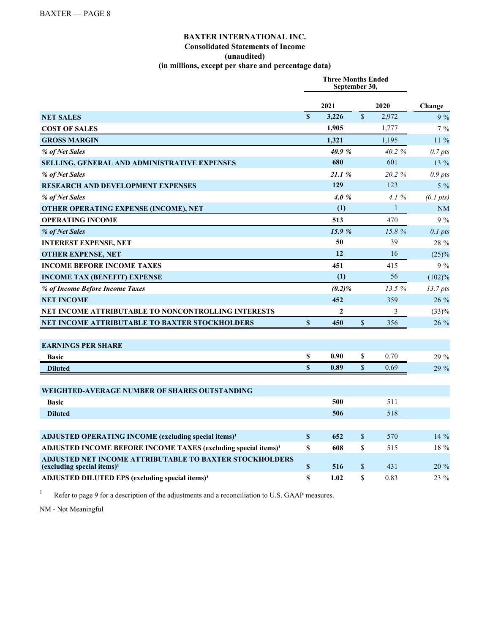### **BAXTER INTERNATIONAL INC. Consolidated Statements of Income (unaudited) (in millions, except per share and percentage data)**

|                                                                                                          |                           | <b>Three Months Ended</b><br>September 30, |               |              |                |
|----------------------------------------------------------------------------------------------------------|---------------------------|--------------------------------------------|---------------|--------------|----------------|
|                                                                                                          |                           | 2021                                       |               | 2020         | Change         |
| <b>NET SALES</b>                                                                                         | $\mathbf S$               | 3,226                                      | $\sqrt{\ }$   | 2,972        | $9\%$          |
| <b>COST OF SALES</b>                                                                                     |                           | 1,905                                      |               | 1,777        | $7\%$          |
| <b>GROSS MARGIN</b>                                                                                      |                           | 1,321                                      |               | 1,195        | 11 %           |
| % of Net Sales                                                                                           |                           | 40.9%                                      |               | 40.2%        | $0.7$ pts      |
| SELLING, GENERAL AND ADMINISTRATIVE EXPENSES                                                             |                           | 680                                        |               | 601          | 13 %           |
| % of Net Sales                                                                                           |                           | 21.1 %                                     |               | 20.2 %       | $0.9$ pts      |
| <b>RESEARCH AND DEVELOPMENT EXPENSES</b>                                                                 |                           | 129                                        |               | 123          | $5\%$          |
| % of Net Sales                                                                                           |                           | 4.0%                                       |               | 4.1 $%$      | $(0.1 \; pts)$ |
| OTHER OPERATING EXPENSE (INCOME), NET                                                                    |                           | (1)                                        |               | $\mathbf{1}$ | <b>NM</b>      |
| <b>OPERATING INCOME</b>                                                                                  |                           | 513                                        |               | 470          | $9\%$          |
| % of Net Sales                                                                                           |                           | 15.9%                                      |               | 15.8%        | $0.1$ pts      |
| <b>INTEREST EXPENSE, NET</b>                                                                             |                           | 50                                         |               | 39           | 28 %           |
| <b>OTHER EXPENSE, NET</b>                                                                                |                           | 12                                         |               | 16           | $(25)\%$       |
| <b>INCOME BEFORE INCOME TAXES</b>                                                                        |                           | 451                                        |               | 415          | $9\%$          |
| <b>INCOME TAX (BENEFIT) EXPENSE</b>                                                                      |                           | (1)                                        |               | 56           | (102)%         |
| % of Income Before Income Taxes                                                                          |                           | $(0.2)\%$                                  |               | 13.5 %       | 13.7 pts       |
| <b>NET INCOME</b>                                                                                        |                           | 452                                        |               | 359          | 26 %           |
| NET INCOME ATTRIBUTABLE TO NONCONTROLLING INTERESTS                                                      |                           | $\overline{2}$                             |               | 3            | (33)%          |
| NET INCOME ATTRIBUTABLE TO BAXTER STOCKHOLDERS                                                           | $\boldsymbol{\mathsf{S}}$ | 450                                        | $\mathsf{\$}$ | 356          | $26\%$         |
|                                                                                                          |                           |                                            |               |              |                |
| <b>EARNINGS PER SHARE</b>                                                                                |                           |                                            |               |              |                |
| <b>Basic</b>                                                                                             | \$                        | 0.90                                       | \$            | 0.70         | 29 %           |
| <b>Diluted</b>                                                                                           | $\mathbf S$               | 0.89                                       | \$            | 0.69         | 29 %           |
|                                                                                                          |                           |                                            |               |              |                |
| <b>WEIGHTED-AVERAGE NUMBER OF SHARES OUTSTANDING</b>                                                     |                           |                                            |               |              |                |
| <b>Basic</b>                                                                                             |                           | 500                                        |               | 511          |                |
| <b>Diluted</b>                                                                                           |                           | 506                                        |               | 518          |                |
|                                                                                                          |                           |                                            |               |              |                |
| ADJUSTED OPERATING INCOME (excluding special items) <sup>1</sup>                                         | $\pmb{\mathbb{S}}$        | 652                                        | $\mathbb{S}$  | 570          | $14\%$         |
| ADJUSTED INCOME BEFORE INCOME TAXES (excluding special items) <sup>1</sup>                               | \$                        | 608                                        | \$            | 515          | 18 %           |
| <b>ADJUSTED NET INCOME ATTRIBUTABLE TO BAXTER STOCKHOLDERS</b><br>(excluding special items) <sup>1</sup> | $\pmb{\mathbb{S}}$        | 516                                        | $\$$          | 431          | 20 %           |
| ADJUSTED DILUTED EPS (excluding special items) <sup>1</sup>                                              | \$                        | 1.02                                       | \$            | 0.83         | 23 %           |

<sup>1</sup> Refer to page 9 for a description of the adjustments and a reconciliation to U.S. GAAP measures.

NM - Not Meaningful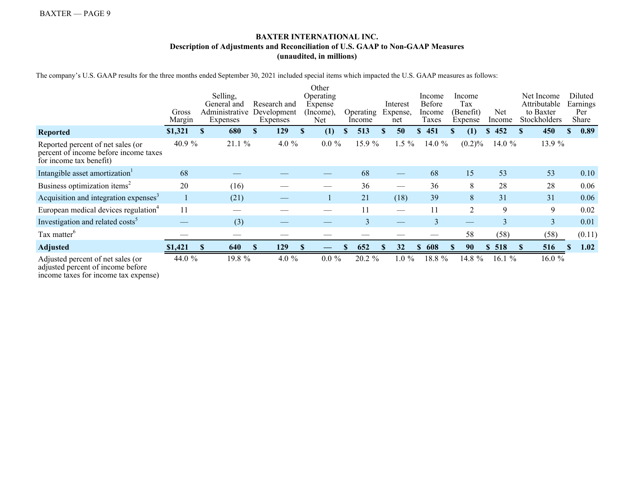### **BAXTER INTERNATIONAL INC. Description of Adjustments and Reconciliation of U.S. GAAP to Non-GAAP Measures (unaudited, in millions)**

The company's U.S. GAAP results for the three months ended September 30, 2021 included special items which impacted the U.S. GAAP measures as follows:

|                                                                                                       | Gross<br>Margin |              | Selling,<br>General and<br>Administrative<br>Expenses |          | Research and<br>Development<br>Expenses |          | Other<br>Operating<br>Expense<br>(Income),<br>Net |             | Operating<br>Income | Interest<br>Expense,<br>net | Income<br>Before<br>Income<br>Taxes |        | Income<br>Tax<br>(Benefit)<br>Expense |        | Net<br>Income      |              | Net Income<br>Attributable<br>to Baxter<br>Stockholders |               | Diluted<br>Earnings<br>Per<br>Share |
|-------------------------------------------------------------------------------------------------------|-----------------|--------------|-------------------------------------------------------|----------|-----------------------------------------|----------|---------------------------------------------------|-------------|---------------------|-----------------------------|-------------------------------------|--------|---------------------------------------|--------|--------------------|--------------|---------------------------------------------------------|---------------|-------------------------------------|
| <b>Reported</b>                                                                                       | \$1,321         | S            | 680                                                   | \$       | 129                                     | S        | (1)                                               | $\mathbf S$ | 513                 | 50                          | \$451                               |        |                                       | (1)    | 452<br>$\mathbf S$ | <b>S</b>     | 450                                                     | <sup>\$</sup> | 0.89                                |
| Reported percent of net sales (or<br>percent of income before income taxes<br>for income tax benefit) | 40.9 %          |              | 21.1%                                                 |          | 4.0 $%$                                 |          | $0.0 \%$                                          |             | 15.9%               | $1.5\%$                     |                                     | 14.0 % |                                       | (0.2)% | 14.0 $%$           |              | 13.9 %                                                  |               |                                     |
| Intangible asset amortization <sup>1</sup>                                                            | 68              |              |                                                       |          |                                         |          |                                                   |             | 68                  |                             | 68                                  |        | 15                                    |        | 53                 |              | 53                                                      |               | 0.10                                |
| Business optimization items <sup>2</sup>                                                              | 20              |              | (16)                                                  |          |                                         |          |                                                   |             | 36                  |                             | 36                                  |        |                                       | 8      | 28                 |              | 28                                                      |               | 0.06                                |
| Acquisition and integration expenses <sup>3</sup>                                                     |                 |              | (21)                                                  |          |                                         |          |                                                   |             | 21                  | (18)                        | 39                                  |        |                                       | 8      | 31                 |              | 31                                                      |               | 0.06                                |
| European medical devices regulation <sup>4</sup>                                                      | 11              |              |                                                       |          |                                         |          |                                                   |             | 11                  |                             |                                     |        |                                       | 2      | 9                  |              | 9                                                       |               | 0.02                                |
| Investigation and related costs <sup>5</sup>                                                          |                 |              | (3)                                                   |          |                                         |          |                                                   |             | $\overline{3}$      |                             |                                     | 3      |                                       |        | 3                  |              | 3                                                       |               | 0.01                                |
| Tax matter <sup>6</sup>                                                                               |                 |              |                                                       |          |                                         |          |                                                   |             |                     |                             |                                     |        | 58                                    |        | (58)               |              | (58)                                                    |               | (0.11)                              |
| <b>Adjusted</b>                                                                                       | \$1,421         | $\mathbf{s}$ | 640                                                   | <b>S</b> | 129                                     | <b>D</b> |                                                   |             | 652                 | 32                          | 608                                 |        | 90<br>ъ                               |        | \$518              | $\mathbf{s}$ | 516                                                     |               | 1.02                                |
| Adjusted percent of net sales (or<br>adjusted percent of income before                                | 44.0 %          |              | 19.8 %                                                |          | 4.0 $%$                                 |          | $0.0 \%$                                          |             | 20.2 %              | $1.0 \%$                    |                                     | 18.8 % |                                       | 14.8 % | 16.1 $%$           |              | 16.0 $%$                                                |               |                                     |

income taxes for income tax expense)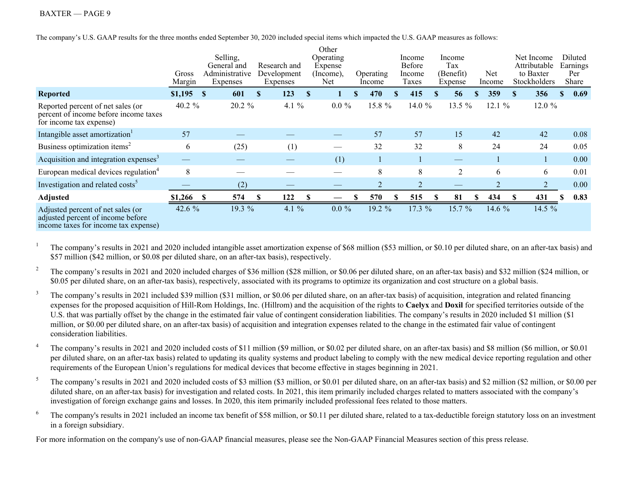The company's U.S. GAAP results for the three months ended September 30, 2020 included special items which impacted the U.S. GAAP measures as follows:

|                                                                                                                | Gross<br>Margin | Selling,<br>General and<br>Administrative<br>Expenses | Research and<br>Development<br>Expenses | Uther<br>Operating<br>Expense<br>(Income),<br>Net | Operating<br>Income | Income<br><b>Before</b><br>Income<br>Taxes | Income<br>Tax<br>(Benefit)<br>Expense | Net<br>Income                 | Net Income<br>Attributable<br>to Baxter<br>Stockholders | Diluted<br>Earnings<br>Per<br>Share |
|----------------------------------------------------------------------------------------------------------------|-----------------|-------------------------------------------------------|-----------------------------------------|---------------------------------------------------|---------------------|--------------------------------------------|---------------------------------------|-------------------------------|---------------------------------------------------------|-------------------------------------|
| <b>Reported</b>                                                                                                | \$1,195         | 601<br>-S                                             | 123<br><b>S</b>                         | $\mathbf{s}$                                      | \$<br>470           | 415<br>$\mathbf{s}$                        | $\mathbf{s}$<br>56                    | 359<br>$\mathbf{\mathcal{S}}$ | 356<br><sup>\$</sup>                                    | <sup>\$</sup><br>0.69               |
| Reported percent of net sales (or<br>percent of income before income taxes<br>for income tax expense)          | 40.2 $%$        | 20.2 %                                                | 4.1 $%$                                 | $0.0 \%$                                          | 15.8 %              | 14.0 %                                     | 13.5 %                                | 12.1 %                        | 12.0%                                                   |                                     |
| Intangible asset amortization <sup>1</sup>                                                                     | 57              |                                                       |                                         |                                                   | 57                  | 57                                         | 15                                    | 42                            | 42                                                      | 0.08                                |
| Business optimization items <sup>2</sup>                                                                       | 6               | (25)                                                  | (1)                                     | —                                                 | 32                  | 32                                         | 8                                     | 24                            | 24                                                      | 0.05                                |
| Acquisition and integration expenses <sup>3</sup>                                                              |                 |                                                       |                                         | (1)                                               |                     |                                            |                                       |                               |                                                         | 0.00                                |
| European medical devices regulation <sup>4</sup>                                                               | 8               |                                                       |                                         |                                                   | 8                   | 8                                          | 2                                     | 6                             | 6                                                       | 0.01                                |
| Investigation and related costs <sup>5</sup>                                                                   |                 | (2)                                                   |                                         |                                                   | 2                   | 2                                          |                                       | $\overline{2}$                | $\overline{2}$                                          | 0.00                                |
| <b>Adjusted</b>                                                                                                | \$1,266         | 574<br>-S                                             | 122<br>-S                               | \$.                                               | 570                 | S<br>515                                   | 81                                    | 434<br>S                      | 431<br><sup>\$</sup>                                    | 0.83<br>\$.                         |
| Adjusted percent of net sales (or<br>adjusted percent of income before<br>income taxes for income tax expense) | 42.6 %          | 19.3 %                                                | 4.1 $%$                                 | $0.0 \%$                                          | 19.2 %              | 17.3 %                                     | 15.7 %                                | 14.6 $%$                      | 14.5 %                                                  |                                     |

 $\sim$ 

<sup>1</sup> The company's results in 2021 and 2020 included intangible asset amortization expense of \$68 million (\$53 million, or \$0.10 per diluted share, on an after-tax basis) and \$57 million (\$42 million, or \$0.08 per diluted share, on an after-tax basis), respectively.

<sup>2</sup> The company's results in 2021 and 2020 included charges of \$36 million (\$28 million, or \$0.06 per diluted share, on an after-tax basis) and \$32 million (\$24 million, or \$0.05 per diluted share, on an after-tax basis), respectively, associated with its programs to optimize its organization and cost structure on a global basis.

 $3$  The company's results in 2021 included \$39 million (\$31 million, or \$0.06 per diluted share, on an after-tax basis) of acquisition, integration and related financing expenses for the proposed acquisition of Hill-Rom Holdings, Inc. (Hillrom) and the acquisition of the rights to **Caelyx** and **Doxil** for specified territories outside of the U.S. that was partially offset by the change in the estimated fair value of contingent consideration liabilities. The company's results in 2020 included \$1 million (\$1) million, or \$0.00 per diluted share, on an after-tax basis) of acquisition and integration expenses related to the change in the estimated fair value of contingent consideration liabilities.

<sup>4</sup> The company's results in 2021 and 2020 included costs of \$11 million (\$9 million, or \$0.02 per diluted share, on an after-tax basis) and \$8 million (\$6 million, or \$0.01) per diluted share, on an after-tax basis) related to updating its quality systems and product labeling to comply with the new medical device reporting regulation and other requirements of the European Union's regulations for medical devices that become effective in stages beginning in 2021.

<sup>5</sup> The company's results in 2021 and 2020 included costs of \$3 million (\$3 million, or \$0.01 per diluted share, on an after-tax basis) and \$2 million (\$2 million, or \$0.00 per diluted share, on an after-tax basis) for investigation and related costs. In 2021, this item primarily included charges related to matters associated with the company's investigation of foreign exchange gains and losses. In 2020, this item primarily included professional fees related to those matters.

<sup>6</sup> The company's results in 2021 included an income tax benefit of \$58 million, or \$0.11 per diluted share, related to a tax-deductible foreign statutory loss on an investment in a foreign subsidiary.

For more information on the company's use of non-GAAP financial measures, please see the Non-GAAP Financial Measures section of this press release.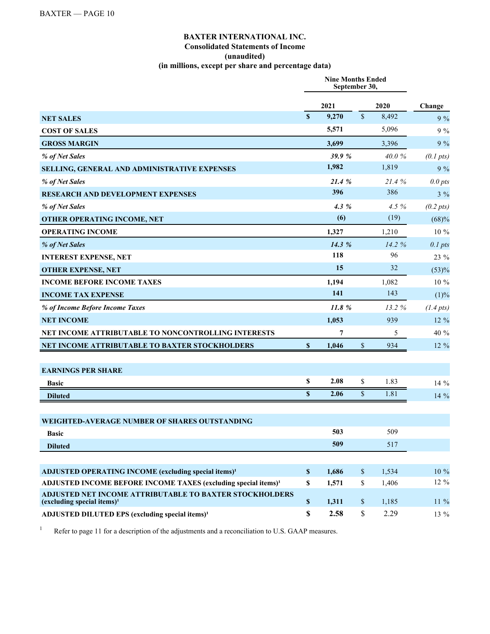### **BAXTER INTERNATIONAL INC. Consolidated Statements of Income (unaudited) (in millions, except per share and percentage data)**

|                                                                                                   |                           | 2021    |                    | 2020    | Change         |
|---------------------------------------------------------------------------------------------------|---------------------------|---------|--------------------|---------|----------------|
| <b>NET SALES</b>                                                                                  | $\mathbf{s}$              | 9,270   | $\mathbf{\hat{S}}$ | 8,492   | $9\%$          |
| <b>COST OF SALES</b>                                                                              |                           | 5,571   |                    | 5,096   | $9\%$          |
| <b>GROSS MARGIN</b>                                                                               |                           | 3,699   |                    | 3,396   | $9\%$          |
| % of Net Sales                                                                                    |                           | 39.9%   |                    | 40.0%   | $(0.1 \, pts)$ |
| SELLING, GENERAL AND ADMINISTRATIVE EXPENSES                                                      |                           | 1,982   |                    | 1,819   | $9\%$          |
| % of Net Sales                                                                                    |                           | 21.4%   |                    | 21.4%   | $0.0$ pts      |
| <b>RESEARCH AND DEVELOPMENT EXPENSES</b>                                                          |                           | 396     |                    | 386     | $3\%$          |
| % of Net Sales                                                                                    |                           | $4.3\%$ |                    | $4.5\%$ | $(0.2 \, pts)$ |
| <b>OTHER OPERATING INCOME, NET</b>                                                                |                           | (6)     |                    | (19)    | (68)%          |
| <b>OPERATING INCOME</b>                                                                           |                           | 1,327   |                    | 1,210   | 10 %           |
| % of Net Sales                                                                                    |                           | 14.3 %  |                    | 14.2 %  | $0.1$ pts      |
| <b>INTEREST EXPENSE, NET</b>                                                                      |                           | 118     |                    | 96      | 23 %           |
| <b>OTHER EXPENSE, NET</b>                                                                         |                           | 15      |                    | 32      | (53)%          |
| <b>INCOME BEFORE INCOME TAXES</b>                                                                 |                           | 1,194   |                    | 1,082   | 10 %           |
| <b>INCOME TAX EXPENSE</b>                                                                         |                           | 141     |                    | 143     | (1)%           |
| % of Income Before Income Taxes                                                                   |                           | 11.8%   |                    | 13.2%   | $(1.4 \, pts)$ |
| <b>NET INCOME</b>                                                                                 |                           | 1,053   |                    | 939     | 12 %           |
| NET INCOME ATTRIBUTABLE TO NONCONTROLLING INTERESTS                                               |                           | 7       |                    | 5       | 40 %           |
| NET INCOME ATTRIBUTABLE TO BAXTER STOCKHOLDERS                                                    | $\mathbf{s}$              | 1,046   | \$                 | 934     | 12 %           |
|                                                                                                   |                           |         |                    |         |                |
| <b>EARNINGS PER SHARE</b>                                                                         |                           |         |                    |         |                |
| <b>Basic</b>                                                                                      | $\pmb{\mathbb{S}}$        | 2.08    | \$                 | 1.83    | 14 %           |
| <b>Diluted</b>                                                                                    | $\boldsymbol{\mathsf{s}}$ | 2.06    | \$                 | 1.81    | 14 %           |
|                                                                                                   |                           |         |                    |         |                |
| WEIGHTED-AVERAGE NUMBER OF SHARES OUTSTANDING                                                     |                           |         |                    |         |                |
| <b>Basic</b>                                                                                      |                           | 503     |                    | 509     |                |
| <b>Diluted</b>                                                                                    |                           | 509     |                    | 517     |                |
|                                                                                                   |                           |         |                    |         |                |
| ADJUSTED OPERATING INCOME (excluding special items) <sup>1</sup>                                  | $\mathbf{s}$              | 1,686   | \$                 | 1,534   | 10 %           |
| ADJUSTED INCOME BEFORE INCOME TAXES (excluding special items) <sup>1</sup>                        | \$                        | 1,571   | \$                 | 1,406   | 12 %           |
| ADJUSTED NET INCOME ATTRIBUTABLE TO BAXTER STOCKHOLDERS<br>(excluding special items) <sup>1</sup> | $\mathbb S$               | 1,311   | \$                 | 1,185   | 11 %           |
| ADJUSTED DILUTED EPS (excluding special items) <sup>1</sup>                                       | $\mathbb S$               | 2.58    | \$                 | 2.29    | 13 %           |

<sup>1</sup> Refer to page 11 for a description of the adjustments and a reconciliation to U.S. GAAP measures.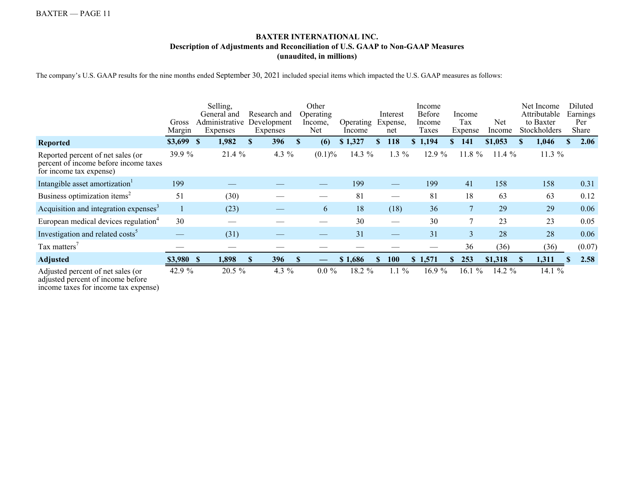### **BAXTER INTERNATIONAL INC. Description of Adjustments and Reconciliation of U.S. GAAP to Non-GAAP Measures (unaudited, in millions)**

The company's U.S. GAAP results for the nine months ended September 30, 2021 included special items which impacted the U.S. GAAP measures as follows:

|                                                                                                       | Gross<br>Margin |               | Selling,<br>General and<br>Administrative<br>Expenses | Research and<br>Development<br>Expenses |         | Other<br>Operating<br>Income.<br>Net | Operating<br>Income |                        | Interest<br>Expense,<br>net | Income<br>Before<br>Income<br>Taxes | Income<br>Tax<br>Expense | Net<br>Income |              | Net Income<br>Attributable<br>to Baxter<br>Stockholders |              | Diluted<br>Earnings<br>Per<br>Share |
|-------------------------------------------------------------------------------------------------------|-----------------|---------------|-------------------------------------------------------|-----------------------------------------|---------|--------------------------------------|---------------------|------------------------|-----------------------------|-------------------------------------|--------------------------|---------------|--------------|---------------------------------------------------------|--------------|-------------------------------------|
| <b>Reported</b>                                                                                       | \$3,699         | <sup>\$</sup> | 1,982                                                 | 396<br><sup>\$</sup>                    |         | <sup>S</sup><br>(6)                  | \$1,327             | $\mathbf{\mathcal{S}}$ | 118                         | \$1,194                             | $\mathbf{s}$<br>141      | \$1,053       | <b>S</b>     | 1,046                                                   | $\mathbf{s}$ | 2.06                                |
| Reported percent of net sales (or<br>percent of income before income taxes<br>for income tax expense) | 39.9 %          |               | 21.4 %                                                |                                         | 4.3 $%$ | $(0.1)\%$                            | 14.3 %              |                        | 1.3 $%$                     | 12.9 %                              | $11.8 \%$                | $11.4\%$      |              | 11.3 $%$                                                |              |                                     |
| Intangible asset amortization <sup>1</sup>                                                            | 199             |               |                                                       |                                         |         |                                      | 199                 |                        |                             | 199                                 | 41                       | 158           |              | 158                                                     |              | 0.31                                |
| Business optimization items <sup>2</sup>                                                              | 51              |               | (30)                                                  |                                         |         |                                      | 81                  |                        |                             | 81                                  | 18                       | 63            |              | 63                                                      |              | 0.12                                |
| Acquisition and integration expenses <sup>3</sup>                                                     |                 |               | (23)                                                  |                                         |         | 6                                    | 18                  |                        | (18)                        | 36                                  | $7\phantom{.0}$          | 29            |              | 29                                                      |              | 0.06                                |
| European medical devices regulation <sup>4</sup>                                                      | 30              |               |                                                       |                                         |         |                                      | 30                  |                        |                             | 30                                  | 7                        | 23            |              | 23                                                      |              | 0.05                                |
| Investigation and related costs <sup>5</sup>                                                          |                 |               | (31)                                                  |                                         |         |                                      | 31                  |                        |                             | 31                                  | $\overline{3}$           | 28            |              | 28                                                      |              | 0.06                                |
| Tax matters'                                                                                          |                 |               |                                                       |                                         |         |                                      |                     |                        |                             |                                     | 36                       | (36)          |              | (36)                                                    |              | (0.07)                              |
| <b>Adjusted</b>                                                                                       | \$3,980 \$      |               | 1,898                                                 | 396                                     |         |                                      | \$1,686             | <b>S</b>               | 100                         | \$1,571                             | 253<br><b>S</b>          | \$1,318       | $\mathbf{s}$ | 1,311                                                   |              | 2.58                                |
| Adjusted percent of net sales (or<br>adjusted percent of income before                                | 42.9 %          |               | 20.5 %                                                |                                         | 4.3 $%$ | $0.0 \%$                             | 18.2 %              |                        | $1.1\%$                     | 16.9 %                              | 16.1%                    | 14.2 %        |              | 14.1 $%$                                                |              |                                     |

income taxes for income tax expense)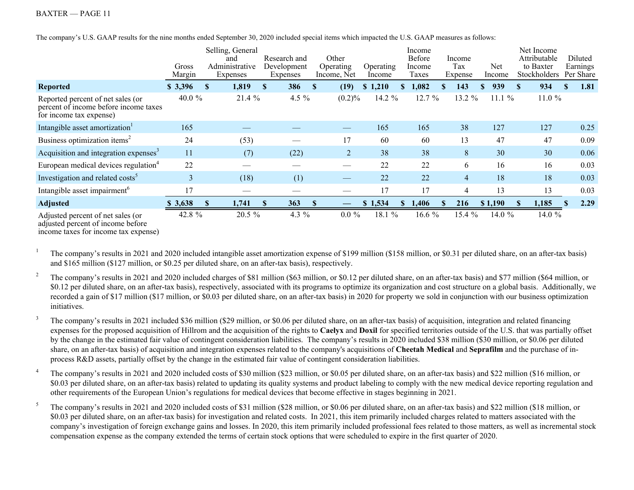|                                                                                                       | Gross<br>Margin |               | Selling, General<br>and<br>Administrative<br>Expenses | Research and<br>Development<br>Expenses |               | Other<br>Operating<br>Income, Net | Operating<br>Income | Income<br>Before<br>Income<br>Taxes |    | Income<br>Tax<br>Expense |         | Net.<br>Income |               | Net Income<br>Attributable<br>to Baxter<br>Stockholders |          | Diluted<br>Earnings<br>Per Share |
|-------------------------------------------------------------------------------------------------------|-----------------|---------------|-------------------------------------------------------|-----------------------------------------|---------------|-----------------------------------|---------------------|-------------------------------------|----|--------------------------|---------|----------------|---------------|---------------------------------------------------------|----------|----------------------------------|
| <b>Reported</b>                                                                                       | \$3,396         | <sup>\$</sup> | 1,819                                                 | 386<br><b>S</b>                         | <sup>\$</sup> | (19)                              | \$1,210             | ,082<br><sup>\$</sup>               |    | 143                      | \$      | 939            | <sup>\$</sup> | 934                                                     | <b>S</b> | 1.81                             |
| Reported percent of net sales (or<br>percent of income before income taxes<br>for income tax expense) | 40.0 $%$        |               | 21.4 %                                                | 4.5 $%$                                 |               | $(0.2)\%$                         | 14.2 %              | 12.7 %                              |    | 13.2 %                   |         | 11.1 $%$       |               | 11.0 $%$                                                |          |                                  |
| Intangible asset amortization <sup>1</sup>                                                            | 165             |               |                                                       |                                         |               |                                   | 165                 | 165                                 |    | 38                       |         | 127            |               | 127                                                     |          | 0.25                             |
| Business optimization items <sup>2</sup>                                                              | 24              |               | (53)                                                  |                                         |               | 17                                | 60                  | 60                                  |    | 13                       |         | 47             |               | 47                                                      |          | 0.09                             |
| Acquisition and integration expenses <sup>3</sup>                                                     | 11              |               | (7)                                                   | (22)                                    |               | $\overline{2}$                    | 38                  | 38                                  |    | 8                        |         | 30             |               | 30                                                      |          | 0.06                             |
| European medical devices regulation <sup>4</sup>                                                      | 22              |               |                                                       |                                         |               |                                   | 22                  | 22                                  |    | 6                        |         | 16             |               | 16                                                      |          | 0.03                             |
| Investigation and related costs <sup>5</sup>                                                          | 3               |               | (18)                                                  | (1)                                     |               |                                   | 22                  | 22                                  |    | $\overline{4}$           |         | 18             |               | 18                                                      |          | 0.03                             |
| Intangible asset impairment <sup>6</sup>                                                              | 17              |               |                                                       |                                         |               |                                   | 17                  | 17                                  |    | 4                        |         | 13             |               | 13                                                      |          | 0.03                             |
| <b>Adjusted</b>                                                                                       | 3,638           | <b>S</b>      | 1,741                                                 | 363<br><b>S</b>                         | <b>S</b>      |                                   | \$1,534             | 1,406                               | S. | 216                      | \$1,190 |                | <b>S</b>      | 1,185                                                   |          | 2.29                             |
| Adjusted percent of net sales (or<br>odiveted persont of income before                                | 42.8 %          |               | 20.5 %                                                | 4.3 %                                   |               | $0.0 \%$                          | 18.1 %              | 16.6 %                              |    | 15.4 %                   |         | 14.0 %         |               | 14.0 %                                                  |          |                                  |

The company's U.S. GAAP results for the nine months ended September 30, 2020 included special items which impacted the U.S. GAAP measures as follows:

adjusted percent of income before

income taxes for income tax expense)

<sup>1</sup> The company's results in 2021 and 2020 included intangible asset amortization expense of \$199 million (\$158 million, or \$0.31 per diluted share, on an after-tax basis) and \$165 million (\$127 million, or \$0.25 per diluted share, on an after-tax basis), respectively.

<sup>2</sup> The company's results in 2021 and 2020 included charges of \$81 million (\$63 million, or \$0.12 per diluted share, on an after-tax basis) and \$77 million (\$64 million, or \$0.12 per diluted share, on an after-tax basis), respectively, associated with its programs to optimize its organization and cost structure on a global basis. Additionally, we recorded a gain of \$17 million (\$17 million, or \$0.03 per diluted share, on an after-tax basis) in 2020 for property we sold in conjunction with our business optimization initiatives.

 $3$  The company's results in 2021 included \$36 million (\$29 million, or \$0.06 per diluted share, on an after-tax basis) of acquisition, integration and related financing expenses for the proposed acquisition of Hillrom and the acquisition of the rights to **Caelyx** and **Doxil** for specified territories outside of the U.S. that was partially offset by the change in the estimated fair value of contingent consideration liabilities. The company's results in 2020 included \$38 million (\$30 million, or \$0.06 per diluted share, on an after-tax basis) of acquisition and integration expenses related to the company's acquisitions of **Cheetah Medical** and **Seprafilm** and the purchase of inprocess R&D assets, partially offset by the change in the estimated fair value of contingent consideration liabilities.

<sup>4</sup> The company's results in 2021 and 2020 included costs of \$30 million (\$23 million, or \$0.05 per diluted share, on an after-tax basis) and \$22 million (\$16 million, or \$0.03 per diluted share, on an after-tax basis) related to updating its quality systems and product labeling to comply with the new medical device reporting regulation and other requirements of the European Union's regulations for medical devices that become effective in stages beginning in 2021.

<sup>5</sup> The company's results in 2021 and 2020 included costs of \$31 million (\$28 million, or \$0.06 per diluted share, on an after-tax basis) and \$22 million (\$18 million, or \$0.03 per diluted share, on an after-tax basis) for investigation and related costs. In 2021, this item primarily included charges related to matters associated with the company's investigation of foreign exchange gains and losses. In 2020, this item primarily included professional fees related to those matters, as well as incremental stock compensation expense as the company extended the terms of certain stock options that were scheduled to expire in the first quarter of 2020.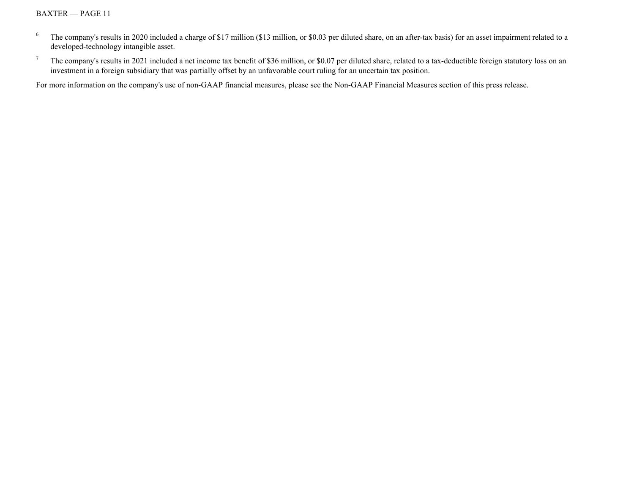### BAXTER — PAGE 11

- <sup>6</sup> The company's results in 2020 included a charge of \$17 million (\$13 million, or \$0.03 per diluted share, on an after-tax basis) for an asset impairment related to a developed-technology intangible asset.
- <sup>7</sup> The company's results in 2021 included a net income tax benefit of \$36 million, or \$0.07 per diluted share, related to a tax-deductible foreign statutory loss on an investment in a foreign subsidiary that was partially offset by an unfavorable court ruling for an uncertain tax position.

For more information on the company's use of non-GAAP financial measures, please see the Non-GAAP Financial Measures section of this press release.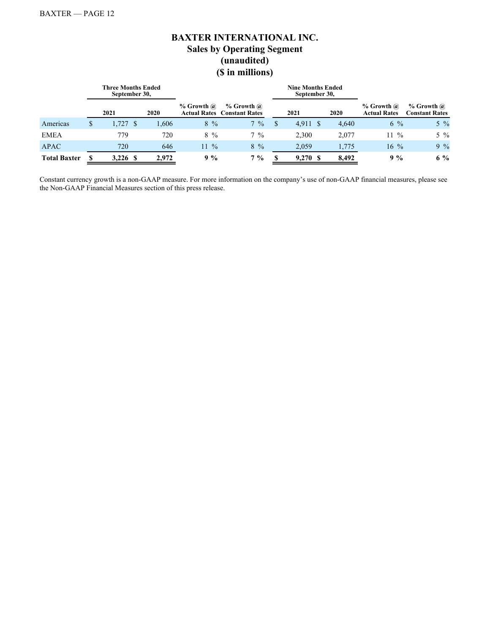## **BAXTER INTERNATIONAL INC. Sales by Operating Segment (unaudited) (\$ in millions)**

|                     | Three Months Ended<br>September 30, |       |                                       |                                         | <b>Nine Months Ended</b><br>September 30, |       |                                       |                                         |
|---------------------|-------------------------------------|-------|---------------------------------------|-----------------------------------------|-------------------------------------------|-------|---------------------------------------|-----------------------------------------|
|                     | 2021                                | 2020  | $%$ Growth $@$<br><b>Actual Rates</b> | $%$ Growth $@$<br><b>Constant Rates</b> | 2021                                      | 2020  | $%$ Growth $@$<br><b>Actual Rates</b> | $%$ Growth $@$<br><b>Constant Rates</b> |
| Americas            | \$<br>.727<br>-S                    | .606  | $8\%$                                 | $7\frac{9}{6}$                          | 4,911 \$                                  | 4.640 | 6 $\frac{6}{9}$                       | $5\frac{9}{6}$                          |
| <b>EMEA</b>         | 779                                 | 720   | $8\%$                                 | $7\frac{9}{6}$                          | 2.300                                     | 2.077 | $\frac{0}{0}$<br>11                   | $5\frac{9}{6}$                          |
| <b>APAC</b>         | 720                                 | 646   | $11\%$                                | $8\frac{9}{6}$                          | 2.059                                     | 1,775 | $16\%$                                | $9\%$                                   |
| <b>Total Baxter</b> | 3.226 S                             | 2.972 | $9\%$                                 | $7\%$                                   | 9.270S                                    | 8.492 | $9\%$                                 | $6\%$                                   |

Constant currency growth is a non-GAAP measure. For more information on the company's use of non-GAAP financial measures, please see the Non-GAAP Financial Measures section of this press release.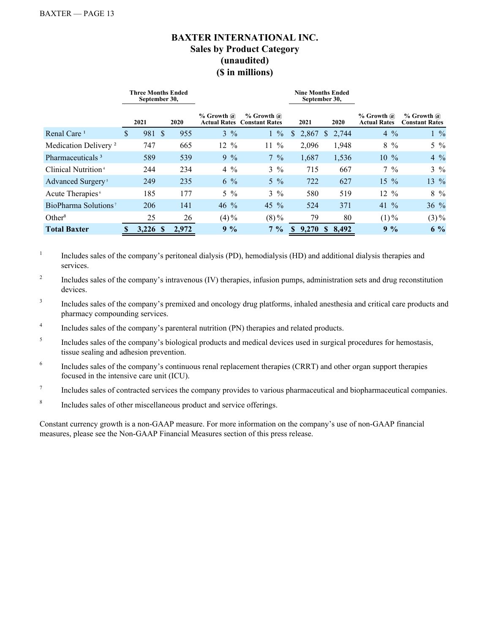### **BAXTER INTERNATIONAL INC. Sales by Product Category (unaudited) (\$ in millions)**

|                                  | <b>Three Months Ended</b><br>September 30, |            |                |                                                      |                  |              |                |    | <b>Nine Months Ended</b><br>September 30, |                                       |       |                                         |               |                |
|----------------------------------|--------------------------------------------|------------|----------------|------------------------------------------------------|------------------|--------------|----------------|----|-------------------------------------------|---------------------------------------|-------|-----------------------------------------|---------------|----------------|
|                                  | 2021<br>2020                               |            | $%$ Growth $@$ | $%$ Growth $@$<br><b>Actual Rates Constant Rates</b> |                  |              | 2021           |    | 2020                                      | $%$ Growth $@$<br><b>Actual Rates</b> |       | $%$ Growth $@$<br><b>Constant Rates</b> |               |                |
| Renal Care <sup>1</sup>          | \$                                         | 981 \$     |                | 955                                                  | $3\frac{9}{6}$   | $\mathbf{1}$ | $\%$           | S. | 2,867                                     | S.                                    | 2,744 | $4\frac{9}{6}$                          |               | $1\frac{9}{6}$ |
| Medication Delivery <sup>2</sup> |                                            | 747        |                | 665                                                  | $12 \frac{9}{6}$ | 11           | $\frac{0}{0}$  |    | 2,096                                     |                                       | 1,948 | 8                                       | $\frac{0}{0}$ | $5\frac{9}{6}$ |
| Pharmaceuticals <sup>3</sup>     |                                            | 589        |                | 539                                                  | $9\%$            |              | $7\frac{9}{6}$ |    | 1,687                                     |                                       | 1,536 | $10\%$                                  |               | $4\frac{9}{6}$ |
| Clinical Nutrition <sup>4</sup>  |                                            | 244        |                | 234                                                  | $4\frac{9}{6}$   |              | $3\%$          |    | 715                                       |                                       | 667   | $7\frac{9}{6}$                          |               | $3\frac{9}{6}$ |
| Advanced Surgery <sup>5</sup>    |                                            | 249        |                | 235                                                  | $6\frac{9}{6}$   |              | $5\frac{9}{6}$ |    | 722                                       |                                       | 627   | $15\%$                                  |               | $13\%$         |
| Acute Therapies <sup>6</sup>     |                                            | 185        |                | 177                                                  | $5\frac{9}{6}$   |              | $3\%$          |    | 580                                       |                                       | 519   | $12 \frac{9}{6}$                        |               | $8\%$          |
| BioPharma Solutions <sup>7</sup> |                                            | 206        |                | 141                                                  | $46\%$           | 45 $\%$      |                |    | 524                                       |                                       | 371   | 41 $\frac{9}{6}$                        |               | $36\%$         |
| Other <sup>8</sup>               |                                            | 25         |                | 26                                                   | $(4) \%$         | $(8)\%$      |                |    | 79                                        |                                       | 80    | $(1)\%$                                 |               | $(3)\%$        |
| <b>Total Baxter</b>              |                                            | $3,226$ \$ |                | 2,972                                                | $9\%$            |              | $7\%$          |    | 9,270                                     | <sup>S</sup>                          | 8,492 | $9\%$                                   |               | $6\%$          |

1 Includes sales of the company's peritoneal dialysis (PD), hemodialysis (HD) and additional dialysis therapies and services.

2 Includes sales of the company's intravenous (IV) therapies, infusion pumps, administration sets and drug reconstitution devices.

3 Includes sales of the company's premixed and oncology drug platforms, inhaled anesthesia and critical care products and pharmacy compounding services.

4 Includes sales of the company's parenteral nutrition (PN) therapies and related products.

5 Includes sales of the company's biological products and medical devices used in surgical procedures for hemostasis, tissue sealing and adhesion prevention.

- 6 Includes sales of the company's continuous renal replacement therapies (CRRT) and other organ support therapies focused in the intensive care unit (ICU).
- 7 Includes sales of contracted services the company provides to various pharmaceutical and biopharmaceutical companies.
- 8 Includes sales of other miscellaneous product and service offerings.

Constant currency growth is a non-GAAP measure. For more information on the company's use of non-GAAP financial measures, please see the Non-GAAP Financial Measures section of this press release.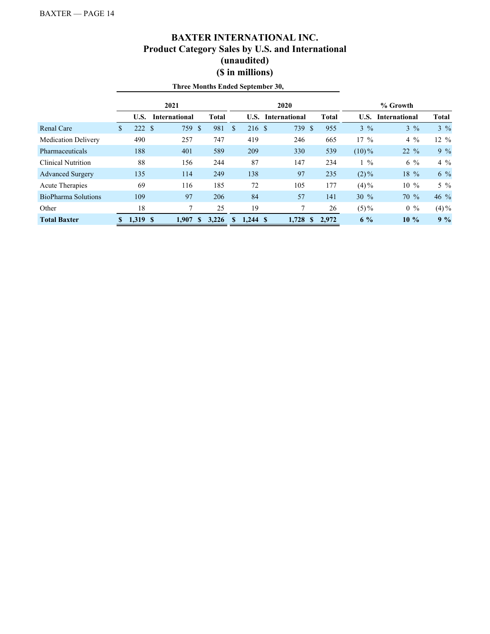# **BAXTER INTERNATIONAL INC. Product Category Sales by U.S. and International (unaudited) (\$ in millions)**

|                            | Three Months Ended September 30, |          |  |                      |              |              |                                              |            |  |       |      |                      |                  |                 |                  |
|----------------------------|----------------------------------|----------|--|----------------------|--------------|--------------|----------------------------------------------|------------|--|-------|------|----------------------|------------------|-----------------|------------------|
|                            |                                  |          |  | 2021                 |              |              |                                              |            |  | 2020  |      |                      |                  | % Growth        |                  |
|                            |                                  | U.S.     |  | <b>International</b> |              | <b>Total</b> | <b>Total</b><br>U.S.<br><b>International</b> |            |  |       | U.S. | <b>International</b> | <b>Total</b>     |                 |                  |
| <b>Renal Care</b>          | <sup>S</sup>                     | 222S     |  | 759 \$               |              | 981          | \$                                           | 216 \$     |  | 739   | -S   | 955                  | $3\%$            | $3\frac{9}{6}$  | $3\%$            |
| <b>Medication Delivery</b> |                                  | 490      |  | 257                  |              | 747          |                                              | 419        |  | 246   |      | 665                  | $17 \frac{9}{6}$ | $4\frac{9}{6}$  | $12 \frac{9}{6}$ |
| Pharmaceuticals            |                                  | 188      |  | 401                  |              | 589          |                                              | 209        |  | 330   |      | 539                  | $(10)\%$         | $22\frac{9}{6}$ | $9\%$            |
| Clinical Nutrition         |                                  | 88       |  | 156                  |              | 244          |                                              | 87         |  | 147   |      | 234                  | $1\%$            | $6\frac{9}{6}$  | $4\frac{9}{6}$   |
| <b>Advanced Surgery</b>    |                                  | 135      |  | 114                  |              | 249          |                                              | 138        |  | 97    |      | 235                  | $(2)\%$          | $18\%$          | $6\%$            |
| <b>Acute Therapies</b>     |                                  | 69       |  | 116                  |              | 185          |                                              | 72         |  | 105   |      | 177                  | $(4) \%$         | $10\%$          | $5\frac{9}{6}$   |
| <b>BioPharma Solutions</b> |                                  | 109      |  | 97                   |              | 206          |                                              | 84         |  | 57    |      | 141                  | $30\%$           | $70\%$          | $46\%$           |
| Other                      |                                  | 18       |  | π                    |              | 25           |                                              | 19         |  |       |      | 26                   | $(5)\%$          | $0\%$           | $(4) \%$         |
| <b>Total Baxter</b>        |                                  | 1,319 \$ |  | 1,907                | $\mathbf{s}$ | 3,226        | S                                            | $1,244$ \$ |  | 1,728 | -S   | 2,972                | $6\%$            | $10\%$          | 9%               |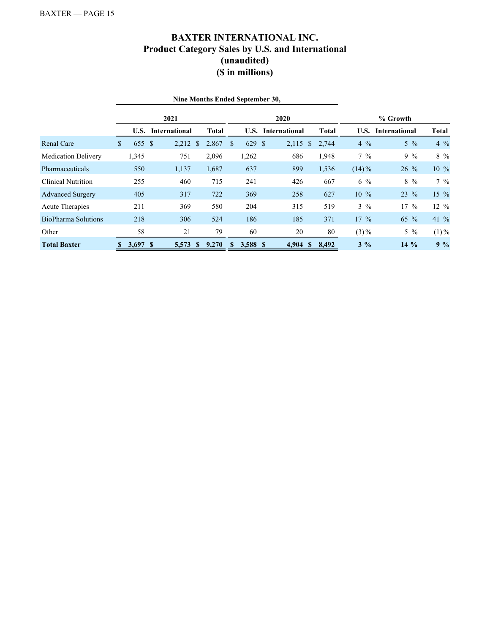# **BAXTER INTERNATIONAL INC. Product Category Sales by U.S. and International (unaudited) (\$ in millions)**

|                            | Nine Months Ended September 30, |            |  |                      |    |              |              |         |                      |              |              |                |                      |                  |
|----------------------------|---------------------------------|------------|--|----------------------|----|--------------|--------------|---------|----------------------|--------------|--------------|----------------|----------------------|------------------|
|                            |                                 |            |  | 2021                 |    |              |              |         | <b>2020</b>          |              |              |                | % Growth             |                  |
|                            |                                 | U.S.       |  | <b>International</b> |    | <b>Total</b> |              | U.S.    | <b>International</b> |              | <b>Total</b> | U.S.           | <b>International</b> | <b>Total</b>     |
| <b>Renal Care</b>          | \$                              | 655 \$     |  | $2,212$ \$           |    | 2,867        | <sup>S</sup> | 629 \$  | 2,115 \$             |              | 2,744        | $4\frac{9}{6}$ | $5\%$                | $4\frac{9}{6}$   |
| <b>Medication Delivery</b> |                                 | 1,345      |  | 751                  |    | 2,096        |              | 1,262   | 686                  |              | 1,948        | $7\frac{9}{6}$ | $9\%$                | $8\%$            |
| Pharmaceuticals            |                                 | 550        |  | 1,137                |    | 1,687        |              | 637     | 899                  |              | 1,536        | $(14)\%$       | $26\%$               | $10\%$           |
| Clinical Nutrition         |                                 | 255        |  | 460                  |    | 715          |              | 241     | 426                  |              | 667          | $6\%$          | $8\frac{9}{6}$       | $7\frac{9}{6}$   |
| <b>Advanced Surgery</b>    |                                 | 405        |  | 317                  |    | 722          |              | 369     | 258                  |              | 627          | $10\%$         | $23\%$               | $15\%$           |
| <b>Acute Therapies</b>     |                                 | 211        |  | 369                  |    | 580          |              | 204     | 315                  |              | 519          | $3\%$          | $17 \frac{9}{6}$     | $12 \frac{9}{6}$ |
| BioPharma Solutions        |                                 | 218        |  | 306                  |    | 524          |              | 186     | 185                  |              | 371          | $17\%$         | $65\%$               | 41 %             |
| Other                      |                                 | 58         |  | 21                   |    | 79           |              | 60      | 20                   |              | 80           | $(3)\%$        | $5\%$                | $(1)\%$          |
| <b>Total Baxter</b>        | S.                              | $3,697$ \$ |  | 5,573                | -S | 9,270        | S            | 3,588 S | 4.904                | <sup>S</sup> | 8,492        | $3\%$          | $14\%$               | 9%               |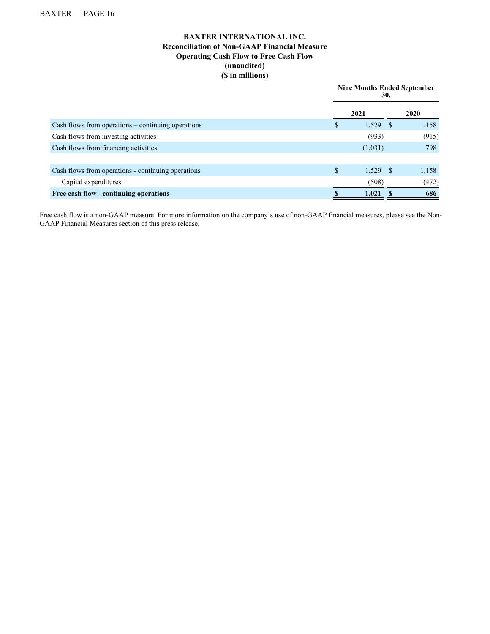### **BAXTER INTERNATIONAL INC. Reconciliation of Non-GAAP Financial Measure Operating Cash Flow to Free Cash Flow (unaudited) (\$ in millions)**

|                                                      | <b>Nine Months Ended September</b><br>30, |            |    |       |  |
|------------------------------------------------------|-------------------------------------------|------------|----|-------|--|
|                                                      |                                           | 2021       |    | 2020  |  |
| $Cash flows from operations - continuing operations$ | S.                                        | 1,529      | -S | 1,158 |  |
| Cash flows from investing activities                 |                                           | (933)      |    | (915) |  |
| Cash flows from financing activities                 |                                           | (1,031)    |    | 798   |  |
|                                                      |                                           |            |    |       |  |
| Cash flows from operations - continuing operations   | \$                                        | $1,529$ \$ |    | 1,158 |  |
| Capital expenditures                                 |                                           | (508)      |    | (472) |  |
| Free cash flow - continuing operations               |                                           | 1,021      |    | 686   |  |

Free cash flow is a non-GAAP measure. For more information on the company's use of non-GAAP financial measures, please see the Non-GAAP Financial Measures section of this press release.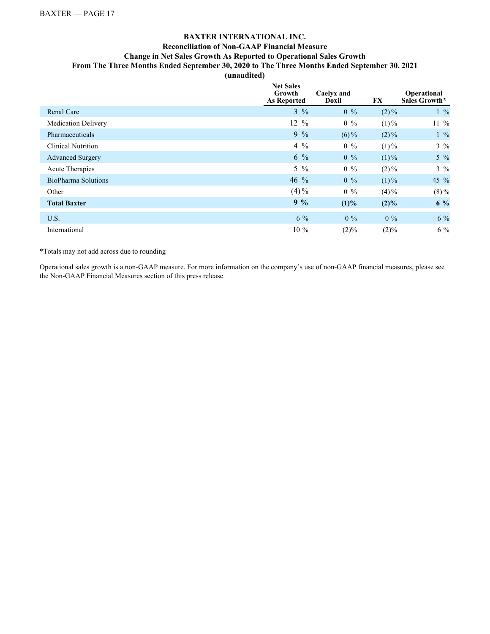### **BAXTER INTERNATIONAL INC. Reconciliation of Non-GAAP Financial Measure Change in Net Sales Growth As Reported to Operational Sales Growth From The Three Months Ended September 30, 2020 to The Three Months Ended September 30, 2021 (unaudited)**

|                            | <b>Net Sales</b><br>Growth<br><b>As Reported</b> | Caelyx and<br>Doxil | FX       | Operational<br>Sales Growth* |
|----------------------------|--------------------------------------------------|---------------------|----------|------------------------------|
| Renal Care                 | $3\frac{9}{6}$                                   | $0\%$               | $(2)\%$  | $1\%$                        |
| <b>Medication Delivery</b> | $12 \frac{9}{6}$                                 | $0\frac{9}{6}$      | $(1)\%$  | $11 \frac{9}{6}$             |
| Pharmaceuticals            | $9\%$                                            | $(6)\%$             | $(2)\%$  | $1 \frac{9}{6}$              |
| <b>Clinical Nutrition</b>  | $4\frac{9}{6}$                                   | $0\frac{9}{6}$      | $(1)\%$  | $3\frac{9}{6}$               |
| <b>Advanced Surgery</b>    | $6\%$                                            | $0\%$               | $(1)\%$  | $5\frac{9}{6}$               |
| Acute Therapies            | $5\frac{9}{6}$                                   | $0\%$               | $(2)\%$  | $3\frac{9}{6}$               |
| <b>BioPharma Solutions</b> | $46\%$                                           | $0\%$               | $(1)\%$  | 45 %                         |
| Other                      | $(4) \%$                                         | $0\frac{9}{6}$      | $(4) \%$ | $(8)\%$                      |
| <b>Total Baxter</b>        | 9%                                               | (1)%                | $(2)\%$  | $6\%$                        |
| U.S.                       | $6\%$                                            | $0\%$               | $0\%$    | $6\%$                        |
| International              | $10\%$                                           | $(2)\%$             | (2)%     | $6\%$                        |

\*Totals may not add across due to rounding

Operational sales growth is a non-GAAP measure. For more information on the company's use of non-GAAP financial measures, please see the Non-GAAP Financial Measures section of this press release.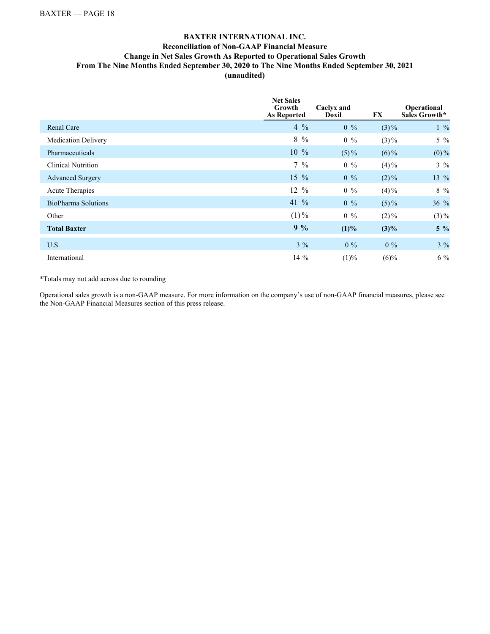### **BAXTER INTERNATIONAL INC. Reconciliation of Non-GAAP Financial Measure Change in Net Sales Growth As Reported to Operational Sales Growth From The Nine Months Ended September 30, 2020 to The Nine Months Ended September 30, 2021 (unaudited)**

|                            | <b>Net Sales</b><br>Growth<br><b>As Reported</b> | Caelvx and<br>Doxil | FX       | Operational<br>Sales Growth* |
|----------------------------|--------------------------------------------------|---------------------|----------|------------------------------|
| <b>Renal Care</b>          | $4\frac{9}{6}$                                   | $0\%$               | $(3)\%$  | $1\frac{9}{6}$               |
| <b>Medication Delivery</b> | $8\frac{9}{6}$                                   | $0\%$               | $(3)\%$  | $5\frac{9}{6}$               |
| Pharmaceuticals            | $10\%$                                           | $(5)\%$             | $(6)\%$  | $(0)\%$                      |
| <b>Clinical Nutrition</b>  | $7\frac{9}{6}$                                   | $0\%$               | $(4) \%$ | $3\frac{9}{6}$               |
| <b>Advanced Surgery</b>    | $15\%$                                           | $0\%$               | $(2)\%$  | 13 %                         |
| Acute Therapies            | $12 \frac{9}{6}$                                 | $0\frac{9}{6}$      | $(4)\%$  | $8\frac{9}{6}$               |
| <b>BioPharma Solutions</b> | 41 %                                             | $0\%$               | $(5)\%$  | 36 %                         |
| Other                      | $(1)\%$                                          | $0\%$               | $(2)\%$  | $(3)\%$                      |
| <b>Total Baxter</b>        | 9%                                               | $(1)\%$             | $(3)\%$  | $5\%$                        |
| U.S.                       | $3\%$                                            | $0\%$               | $0\%$    | $3\%$                        |
| International              | $14\%$                                           | (1)%                | $(6)\%$  | $6\%$                        |

\*Totals may not add across due to rounding

Operational sales growth is a non-GAAP measure. For more information on the company's use of non-GAAP financial measures, please see the Non-GAAP Financial Measures section of this press release.